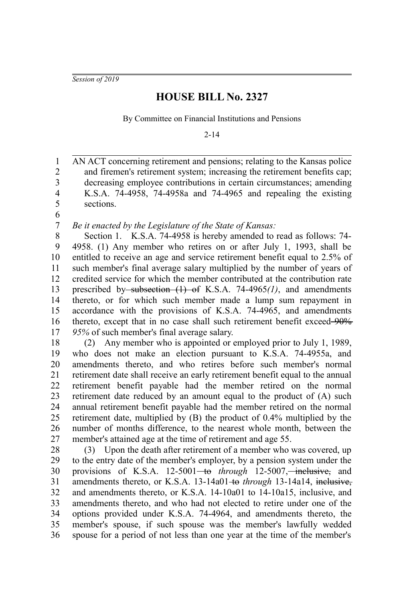*Session of 2019*

## **HOUSE BILL No. 2327**

By Committee on Financial Institutions and Pensions

2-14

AN ACT concerning retirement and pensions; relating to the Kansas police and firemen's retirement system; increasing the retirement benefits cap; decreasing employee contributions in certain circumstances; amending K.S.A. 74-4958, 74-4958a and 74-4965 and repealing the existing sections. 1 2 3 4 5

6

*Be it enacted by the Legislature of the State of Kansas:* 7

Section 1. K.S.A. 74-4958 is hereby amended to read as follows: 74- 4958. (1) Any member who retires on or after July 1, 1993, shall be entitled to receive an age and service retirement benefit equal to 2.5% of such member's final average salary multiplied by the number of years of credited service for which the member contributed at the contribution rate prescribed by-subsection (1) of K.S.A. 74-4965(1), and amendments thereto, or for which such member made a lump sum repayment in accordance with the provisions of K.S.A. 74-4965, and amendments thereto, except that in no case shall such retirement benefit exceed  $90\%$ *95%* of such member's final average salary. 8 9 10 11 12 13 14 15 16 17

(2) Any member who is appointed or employed prior to July 1, 1989, who does not make an election pursuant to K.S.A. 74-4955a, and amendments thereto, and who retires before such member's normal retirement date shall receive an early retirement benefit equal to the annual retirement benefit payable had the member retired on the normal retirement date reduced by an amount equal to the product of (A) such annual retirement benefit payable had the member retired on the normal retirement date, multiplied by (B) the product of 0.4% multiplied by the number of months difference, to the nearest whole month, between the member's attained age at the time of retirement and age 55. 18 19 20 21 22 23 24 25 26 27

(3) Upon the death after retirement of a member who was covered, up to the entry date of the member's employer, by a pension system under the provisions of K.S.A. 12-5001<del> to</del> *through* 12-5007,—inclusive, and amendments thereto, or K.S.A. 13-14a01-to through 13-14a14, inclusive, and amendments thereto, or K.S.A. 14-10a01 to 14-10a15, inclusive, and amendments thereto, and who had not elected to retire under one of the options provided under K.S.A. 74-4964, and amendments thereto, the member's spouse, if such spouse was the member's lawfully wedded spouse for a period of not less than one year at the time of the member's 28 29 30 31 32 33 34 35 36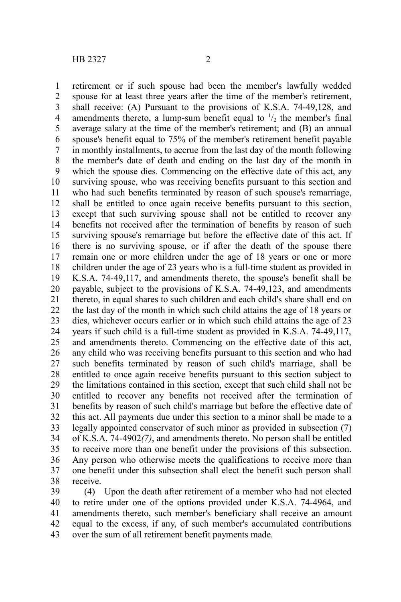retirement or if such spouse had been the member's lawfully wedded spouse for at least three years after the time of the member's retirement, shall receive: (A) Pursuant to the provisions of K.S.A. 74-49,128, and amendments thereto, a lump-sum benefit equal to  $\frac{1}{2}$  the member's final average salary at the time of the member's retirement; and (B) an annual spouse's benefit equal to 75% of the member's retirement benefit payable in monthly installments, to accrue from the last day of the month following the member's date of death and ending on the last day of the month in which the spouse dies. Commencing on the effective date of this act, any surviving spouse, who was receiving benefits pursuant to this section and who had such benefits terminated by reason of such spouse's remarriage, shall be entitled to once again receive benefits pursuant to this section, except that such surviving spouse shall not be entitled to recover any benefits not received after the termination of benefits by reason of such surviving spouse's remarriage but before the effective date of this act. If there is no surviving spouse, or if after the death of the spouse there remain one or more children under the age of 18 years or one or more children under the age of 23 years who is a full-time student as provided in K.S.A. 74-49,117, and amendments thereto, the spouse's benefit shall be payable, subject to the provisions of K.S.A. 74-49,123, and amendments thereto, in equal shares to such children and each child's share shall end on the last day of the month in which such child attains the age of 18 years or dies, whichever occurs earlier or in which such child attains the age of 23 years if such child is a full-time student as provided in K.S.A. 74-49,117, and amendments thereto. Commencing on the effective date of this act, any child who was receiving benefits pursuant to this section and who had such benefits terminated by reason of such child's marriage, shall be entitled to once again receive benefits pursuant to this section subject to the limitations contained in this section, except that such child shall not be entitled to recover any benefits not received after the termination of benefits by reason of such child's marriage but before the effective date of this act. All payments due under this section to a minor shall be made to a legally appointed conservator of such minor as provided in-subsection (7) of K.S.A. 74-4902*(7)*, and amendments thereto. No person shall be entitled to receive more than one benefit under the provisions of this subsection. Any person who otherwise meets the qualifications to receive more than one benefit under this subsection shall elect the benefit such person shall receive. 1 2 3 4 5 6 7 8 9 10 11 12 13 14 15 16 17 18 19 20 21 22 23 24 25 26 27 28 29 30 31 32 33 34 35 36 37 38

(4) Upon the death after retirement of a member who had not elected to retire under one of the options provided under K.S.A. 74-4964, and amendments thereto, such member's beneficiary shall receive an amount equal to the excess, if any, of such member's accumulated contributions over the sum of all retirement benefit payments made. 39 40 41 42 43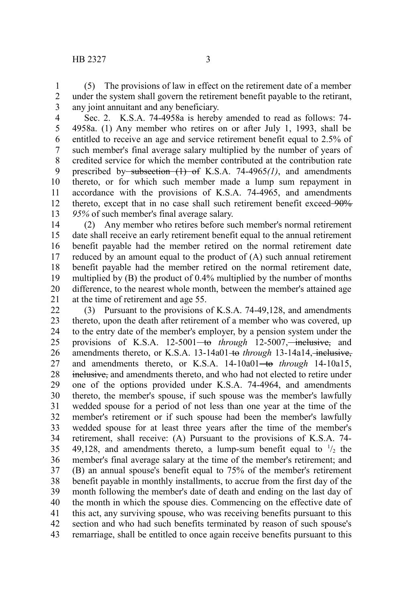(5) The provisions of law in effect on the retirement date of a member under the system shall govern the retirement benefit payable to the retirant, any joint annuitant and any beneficiary. 1 2 3

Sec. 2. K.S.A. 74-4958a is hereby amended to read as follows: 74- 4958a. (1) Any member who retires on or after July 1, 1993, shall be entitled to receive an age and service retirement benefit equal to 2.5% of such member's final average salary multiplied by the number of years of credited service for which the member contributed at the contribution rate prescribed by subsection (1) of K.S.A. 74-4965*(1)*, and amendments thereto, or for which such member made a lump sum repayment in accordance with the provisions of K.S.A. 74-4965, and amendments thereto, except that in no case shall such retirement benefit exceed-90% *95%* of such member's final average salary. 4 5 6 7 8 9 10 11 12 13

(2) Any member who retires before such member's normal retirement date shall receive an early retirement benefit equal to the annual retirement benefit payable had the member retired on the normal retirement date reduced by an amount equal to the product of (A) such annual retirement benefit payable had the member retired on the normal retirement date, multiplied by (B) the product of 0.4% multiplied by the number of months difference, to the nearest whole month, between the member's attained age at the time of retirement and age 55. 14 15 16 17 18 19 20 21

(3) Pursuant to the provisions of K.S.A. 74-49,128, and amendments thereto, upon the death after retirement of a member who was covered, up to the entry date of the member's employer, by a pension system under the provisions of K.S.A. 12-5001<del> to</del> *through* 12-5007,—inclusive, and amendments thereto, or K.S.A. 13-14a01<del>-to</del> through 13-14a14, inclusive, and amendments thereto, or K.S.A. 14-10a01<del>-to</del> through 14-10a15, inclusive, and amendments thereto, and who had not elected to retire under one of the options provided under K.S.A. 74-4964, and amendments thereto, the member's spouse, if such spouse was the member's lawfully wedded spouse for a period of not less than one year at the time of the member's retirement or if such spouse had been the member's lawfully wedded spouse for at least three years after the time of the member's retirement, shall receive: (A) Pursuant to the provisions of K.S.A. 74- 49,128, and amendments thereto, a lump-sum benefit equal to  $\frac{1}{2}$  the member's final average salary at the time of the member's retirement; and (B) an annual spouse's benefit equal to 75% of the member's retirement benefit payable in monthly installments, to accrue from the first day of the month following the member's date of death and ending on the last day of the month in which the spouse dies. Commencing on the effective date of this act, any surviving spouse, who was receiving benefits pursuant to this section and who had such benefits terminated by reason of such spouse's remarriage, shall be entitled to once again receive benefits pursuant to this 22 23 24 25 26 27 28 29 30 31 32 33 34 35 36 37 38 39 40 41 42 43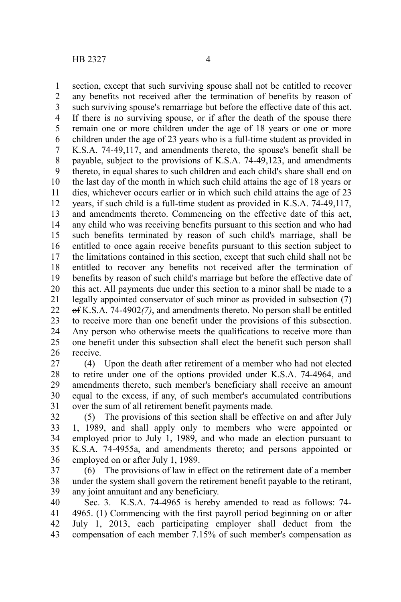section, except that such surviving spouse shall not be entitled to recover any benefits not received after the termination of benefits by reason of such surviving spouse's remarriage but before the effective date of this act. If there is no surviving spouse, or if after the death of the spouse there remain one or more children under the age of 18 years or one or more children under the age of 23 years who is a full-time student as provided in K.S.A. 74-49,117, and amendments thereto, the spouse's benefit shall be payable, subject to the provisions of K.S.A. 74-49,123, and amendments thereto, in equal shares to such children and each child's share shall end on the last day of the month in which such child attains the age of 18 years or dies, whichever occurs earlier or in which such child attains the age of 23 years, if such child is a full-time student as provided in K.S.A. 74-49,117, and amendments thereto. Commencing on the effective date of this act, any child who was receiving benefits pursuant to this section and who had such benefits terminated by reason of such child's marriage, shall be entitled to once again receive benefits pursuant to this section subject to the limitations contained in this section, except that such child shall not be entitled to recover any benefits not received after the termination of benefits by reason of such child's marriage but before the effective date of this act. All payments due under this section to a minor shall be made to a legally appointed conservator of such minor as provided in subsection (7) of K.S.A. 74-4902*(7)*, and amendments thereto. No person shall be entitled to receive more than one benefit under the provisions of this subsection. Any person who otherwise meets the qualifications to receive more than one benefit under this subsection shall elect the benefit such person shall receive. 1 2 3 4 5 6 7 8 9 10 11 12 13 14 15 16 17 18 19 20 21 22 23 24 25 26

(4) Upon the death after retirement of a member who had not elected to retire under one of the options provided under K.S.A. 74-4964, and amendments thereto, such member's beneficiary shall receive an amount equal to the excess, if any, of such member's accumulated contributions over the sum of all retirement benefit payments made. 27 28 29 30 31

(5) The provisions of this section shall be effective on and after July 1, 1989, and shall apply only to members who were appointed or employed prior to July 1, 1989, and who made an election pursuant to K.S.A. 74-4955a, and amendments thereto; and persons appointed or employed on or after July 1, 1989. 32 33 34 35 36

(6) The provisions of law in effect on the retirement date of a member under the system shall govern the retirement benefit payable to the retirant, any joint annuitant and any beneficiary. 37 38 39

Sec. 3. K.S.A. 74-4965 is hereby amended to read as follows: 74- 4965. (1) Commencing with the first payroll period beginning on or after July 1, 2013, each participating employer shall deduct from the compensation of each member 7.15% of such member's compensation as 40 41 42 43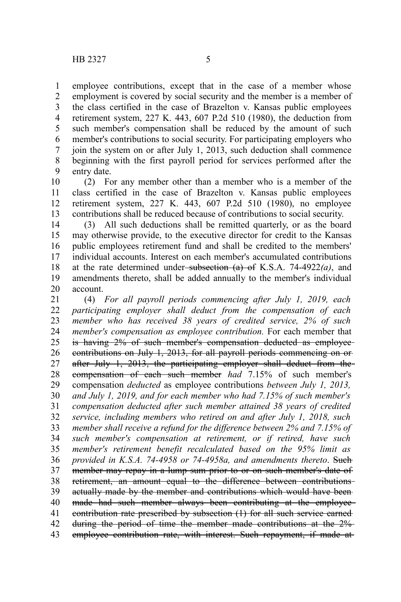employee contributions, except that in the case of a member whose employment is covered by social security and the member is a member of the class certified in the case of Brazelton v. Kansas public employees retirement system, 227 K. 443, 607 P.2d 510 (1980), the deduction from such member's compensation shall be reduced by the amount of such member's contributions to social security. For participating employers who join the system on or after July 1, 2013, such deduction shall commence beginning with the first payroll period for services performed after the entry date. 1 2 3 4 5 6 7 8 9

(2) For any member other than a member who is a member of the class certified in the case of Brazelton v. Kansas public employees retirement system, 227 K. 443, 607 P.2d 510 (1980), no employee contributions shall be reduced because of contributions to social security. 10 11 12 13

(3) All such deductions shall be remitted quarterly, or as the board may otherwise provide, to the executive director for credit to the Kansas public employees retirement fund and shall be credited to the members' individual accounts. Interest on each member's accumulated contributions at the rate determined under-subsection  $(a)$  of K.S.A. 74-4922 $(a)$ , and amendments thereto, shall be added annually to the member's individual account. 14 15 16 17 18 19 20

(4) *For all payroll periods commencing after July 1, 2019, each participating employer shall deduct from the compensation of each member who has received 38 years of credited service, 2% of such member's compensation as employee contribution.* For each member that is having 2% of such member's compensation deducted as employee contributions on July 1, 2013, for all payroll periods commencing on or after July 1, 2013, the participating employer shall deduct from the compensation of each such member *had* 7.15% of such member's compensation *deducted* as employee contributions *between July 1, 2013, and July 1, 2019, and for each member who had 7.15% of such member's compensation deducted after such member attained 38 years of credited service, including members who retired on and after July 1, 2018, such member shall receive a refund for the difference between 2% and 7.15% of such member's compensation at retirement, or if retired, have such member's retirement benefit recalculated based on the 95% limit as provided in K.S.A. 74-4958 or 74-4958a, and amendments thereto*. Such member may repay in a lump sum prior to or on such member's date of retirement, an amount equal to the difference between contributions actually made by the member and contributions which would have been made had such member always been contributing at the employee contribution rate prescribed by subsection (1) for all such service earned during the period of time the member made contributions at the 2% employee contribution rate, with interest. Such repayment, if made at 21 22 23 24 25 26 27 28 29 30 31 32 33 34 35 36 37 38 39 40 41 42 43